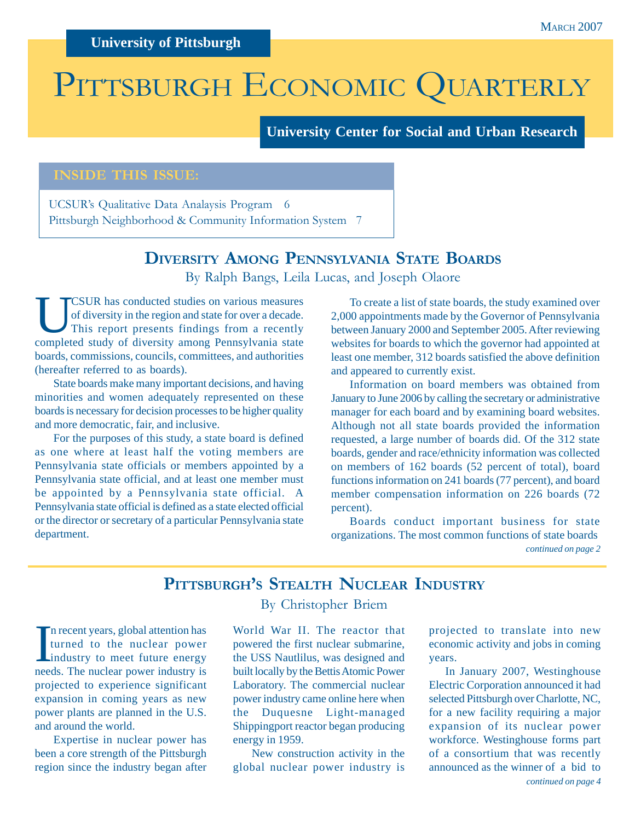## **University of Pittsburgh**

# PITTSBURGH ECONOMIC QUARTERLY

**University Center for Social and Urban Research**

#### **INSIDE THIS ISSUE:**

UCSUR's Qualitative Data Analaysis Program 6 Pittsburgh Neighborhood & Community Information System 7

## **DIVERSITY AMONG PENNSYLVANIA STATE BOARDS** By Ralph Bangs, Leila Lucas, and Joseph Olaore

UCSUR has conducted studies on various measures of diversity in the region and state for over a decade. This report presents findings from a recently completed study of diversity among Pennsylvania state boards, commissions, councils, committees, and authorities (hereafter referred to as boards).

State boards make many important decisions, and having minorities and women adequately represented on these boards is necessary for decision processes to be higher quality and more democratic, fair, and inclusive.

For the purposes of this study, a state board is defined as one where at least half the voting members are Pennsylvania state officials or members appointed by a Pennsylvania state official, and at least one member must be appointed by a Pennsylvania state official. A Pennsylvania state official is defined as a state elected official or the director or secretary of a particular Pennsylvania state department.

To create a list of state boards, the study examined over 2,000 appointments made by the Governor of Pennsylvania between January 2000 and September 2005. After reviewing websites for boards to which the governor had appointed at least one member, 312 boards satisfied the above definition and appeared to currently exist.

Information on board members was obtained from January to June 2006 by calling the secretary or administrative manager for each board and by examining board websites. Although not all state boards provided the information requested, a large number of boards did. Of the 312 state boards, gender and race/ethnicity information was collected on members of 162 boards (52 percent of total), board functions information on 241 boards (77 percent), and board member compensation information on 226 boards (72 percent).

*continued on page 2* Boards conduct important business for state organizations. The most common functions of state boards

## **PITTSBURGH'S STEALTH NUCLEAR INDUSTRY**

By Christopher Briem

I industry to the nuclear power<br>
industry to meet future energy<br>
mode. The nuclear power industry is n recent years, global attention has turned to the nuclear power needs. The nuclear power industry is projected to experience significant expansion in coming years as new power plants are planned in the U.S. and around the world.

Expertise in nuclear power has been a core strength of the Pittsburgh region since the industry began after

World War II. The reactor that powered the first nuclear submarine, the USS Nautlilus, was designed and built locally by the Bettis Atomic Power Laboratory. The commercial nuclear power industry came online here when the Duquesne Light-managed Shippingport reactor began producing energy in 1959.

New construction activity in the global nuclear power industry is projected to translate into new economic activity and jobs in coming years.

*continued on page 4* In January 2007, Westinghouse Electric Corporation announced it had selected Pittsburgh over Charlotte, NC, for a new facility requiring a major expansion of its nuclear power workforce. Westinghouse forms part of a consortium that was recently announced as the winner of a bid to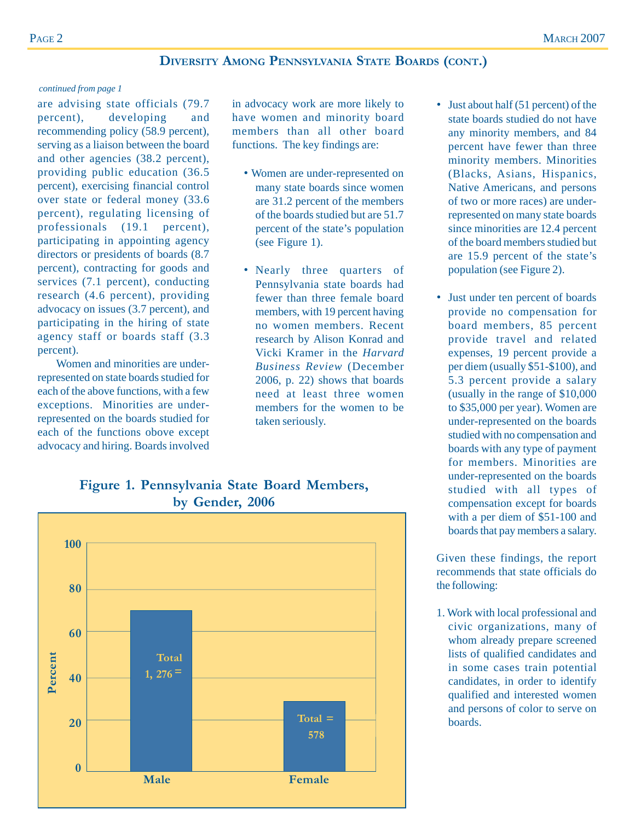#### **DIVERSITY AMONG PENNSYLVANIA STATE BOARDS (CONT.)**

#### *continued from page 1*

are advising state officials (79.7 percent), developing and recommending policy (58.9 percent), serving as a liaison between the board and other agencies (38.2 percent), providing public education (36.5 percent), exercising financial control over state or federal money (33.6 percent), regulating licensing of professionals (19.1 percent), participating in appointing agency directors or presidents of boards (8.7 percent), contracting for goods and services (7.1 percent), conducting research (4.6 percent), providing advocacy on issues (3.7 percent), and participating in the hiring of state agency staff or boards staff (3.3 percent).

Women and minorities are underrepresented on state boards studied for each of the above functions, with a few exceptions. Minorities are underrepresented on the boards studied for each of the functions obove except advocacy and hiring. Boards involved

in advocacy work are more likely to have women and minority board members than all other board functions. The key findings are:

- Women are under-represented on many state boards since women are 31.2 percent of the members of the boards studied but are 51.7 percent of the state's population (see Figure 1).
- Nearly three quarters of Pennsylvania state boards had fewer than three female board members, with 19 percent having no women members. Recent research by Alison Konrad and Vicki Kramer in the *Harvard Business Review* (December 2006, p. 22) shows that boards need at least three women members for the women to be taken seriously.
- **100 80 60** Percent **Total Percent1, 276 = 40 Total = 20 578 0 Male Female**

## **Figure 1. Pennsylvania State Board Members, by Gender, 2006**

- Just about half (51 percent) of the state boards studied do not have any minority members, and 84 percent have fewer than three minority members. Minorities (Blacks, Asians, Hispanics, Native Americans, and persons of two or more races) are underrepresented on many state boards since minorities are 12.4 percent of the board members studied but are 15.9 percent of the state's population (see Figure 2).
- Just under ten percent of boards provide no compensation for board members, 85 percent provide travel and related expenses, 19 percent provide a per diem (usually \$51-\$100), and 5.3 percent provide a salary (usually in the range of \$10,000 to \$35,000 per year). Women are under-represented on the boards studied with no compensation and boards with any type of payment for members. Minorities are under-represented on the boards studied with all types of compensation except for boards with a per diem of \$51-100 and boards that pay members a salary.

Given these findings, the report recommends that state officials do the following:

1. Work with local professional and civic organizations, many of whom already prepare screened lists of qualified candidates and in some cases train potential candidates, in order to identify qualified and interested women and persons of color to serve on boards.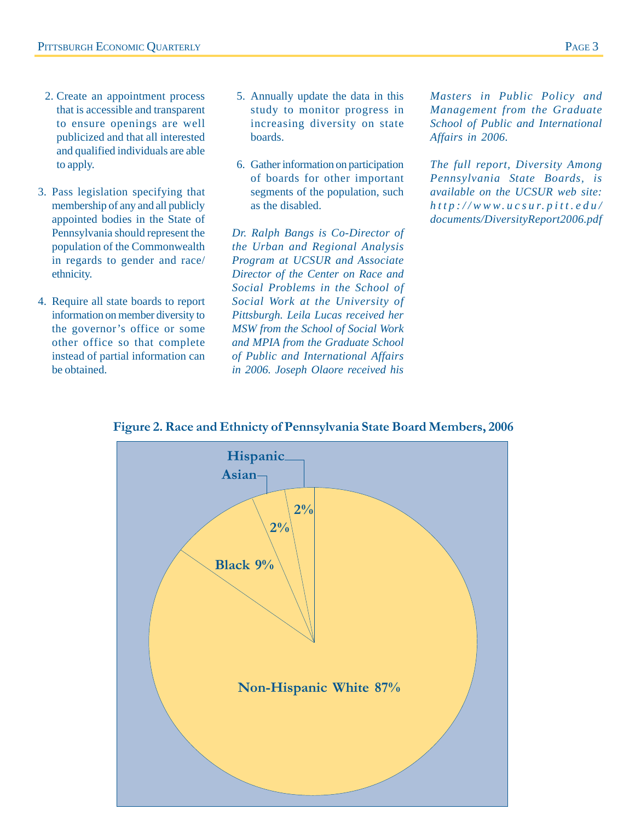- 2. Create an appointment process that is accessible and transparent to ensure openings are well publicized and that all interested and qualified individuals are able to apply.
- 3. Pass legislation specifying that membership of any and all publicly appointed bodies in the State of Pennsylvania should represent the population of the Commonwealth in regards to gender and race/ ethnicity.
- 4. Require all state boards to report information on member diversity to the governor's office or some other office so that complete instead of partial information can be obtained.
- 5. Annually update the data in this study to monitor progress in increasing diversity on state boards.
- 6. Gather information on participation of boards for other important segments of the population, such as the disabled.

*Dr. Ralph Bangs is Co-Director of the Urban and Regional Analysis Program at UCSUR and Associate Director of the Center on Race and Social Problems in the School of Social Work at the University of Pittsburgh. Leila Lucas received her MSW from the School of Social Work and MPIA from the Graduate School of Public and International Affairs in 2006. Joseph Olaore received his*

*Masters in Public Policy and Management from the Graduate School of Public and International Affairs in 2006.*

*The full report, Diversity Among Pennsylvania State Boards, is available on the UCSUR web site: http://www.ucsur.pitt.edu/ documents/DiversityReport2006.pdf*



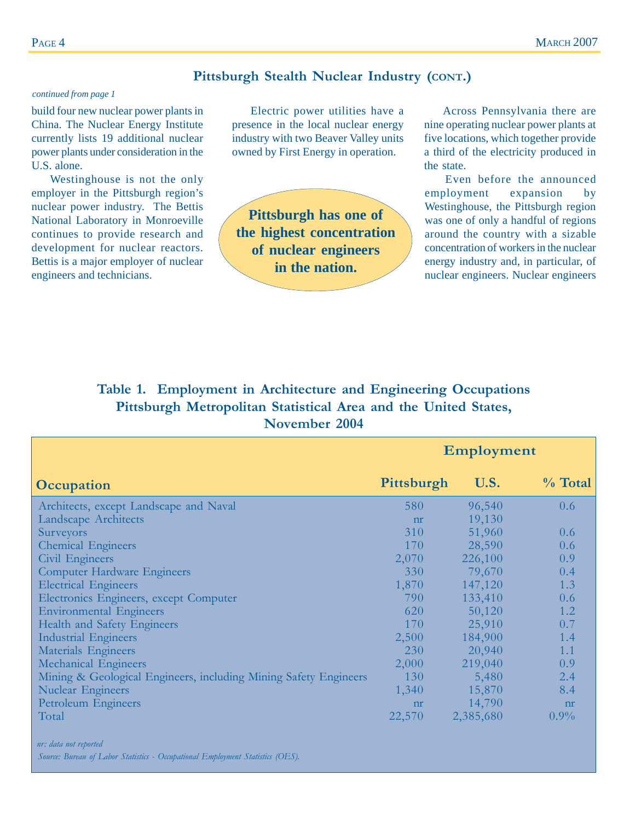#### **Pittsburgh Stealth Nuclear Industry (CONT.)**

#### *continued from page 1*

build four new nuclear power plants in China. The Nuclear Energy Institute currently lists 19 additional nuclear power plants under consideration in the U.S. alone.

Westinghouse is not the only employer in the Pittsburgh region's nuclear power industry. The Bettis National Laboratory in Monroeville continues to provide research and development for nuclear reactors. Bettis is a major employer of nuclear engineers and technicians.

Electric power utilities have a presence in the local nuclear energy industry with two Beaver Valley units owned by First Energy in operation.

**Pittsburgh has one of the highest concentration of nuclear engineers in the nation.**

Across Pennsylvania there are nine operating nuclear power plants at five locations, which together provide a third of the electricity produced in the state.

Even before the announced employment expansion by Westinghouse, the Pittsburgh region was one of only a handful of regions around the country with a sizable concentration of workers in the nuclear energy industry and, in particular, of nuclear engineers. Nuclear engineers

## **Table 1. Employment in Architecture and Engineering Occupations Pittsburgh Metropolitan Statistical Area and the United States, November 2004**

|                                                                  | Employment |           |                |
|------------------------------------------------------------------|------------|-----------|----------------|
| Occupation                                                       | Pittsburgh | U.S.      | $\%$ Total     |
| Architects, except Landscape and Naval                           | 580        | 96,540    | 0.6            |
| Landscape Architects                                             | nr         | 19,130    |                |
| Surveyors                                                        | 310        | 51,960    | $0.6^{\circ}$  |
| <b>Chemical Engineers</b>                                        | 170        | 28,590    | 0.6            |
| Civil Engineers                                                  | 2,070      | 226,100   | 0.9            |
| <b>Computer Hardware Engineers</b>                               | 330        | 79,670    | 0.4            |
| <b>Electrical Engineers</b>                                      | 1,870      | 147,120   | 1.3            |
| Electronics Engineers, except Computer                           | 790        | 133,410   | 0.6            |
| <b>Environmental Engineers</b>                                   | 620        | 50,120    | 1.2            |
| Health and Safety Engineers                                      | 170        | 25,910    | 0.7            |
| <b>Industrial Engineers</b>                                      | 2,500      | 184,900   | 1.4            |
| Materials Engineers                                              | 230        | 20,940    | 1.1            |
| Mechanical Engineers                                             | 2,000      | 219,040   | 0.9            |
| Mining & Geological Engineers, including Mining Safety Engineers | 130        | 5,480     | 2.4            |
| <b>Nuclear Engineers</b>                                         | 1,340      | 15,870    | 8.4            |
| Petroleum Engineers                                              | nr         | 14,790    | n <sub>r</sub> |
| Total                                                            | 22,570     | 2,385,680 | $0.9\%$        |

 *nr: data not reported Source: Bureau of Labor Statistics - Occupational Employment Statistics (OES).*

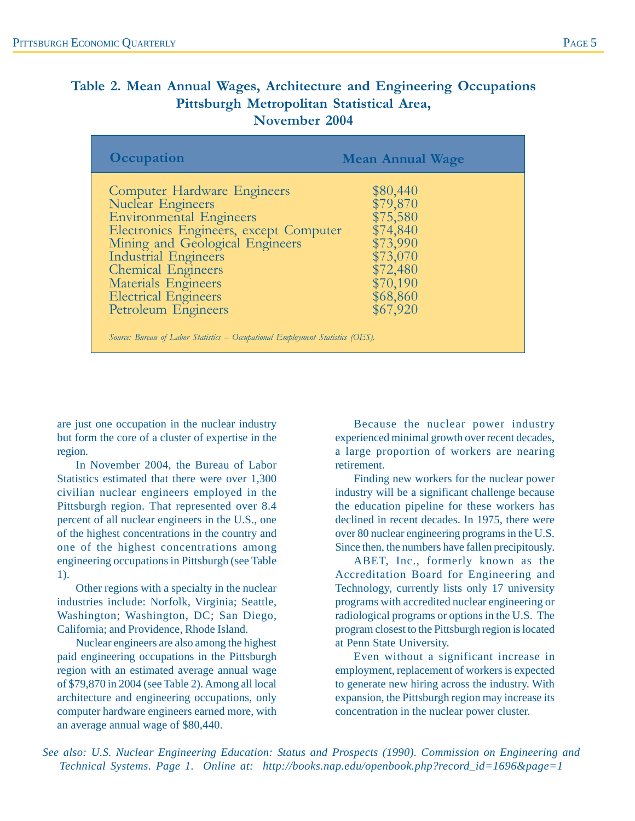## **Table 2. Mean Annual Wages, Architecture and Engineering Occupations Pittsburgh Metropolitan Statistical Area, November 2004**

| <b>Occupation</b>                                                                                                                                                                                                                                                                                                                                                                                        | <b>Mean Annual Wage</b>                                                                                              |
|----------------------------------------------------------------------------------------------------------------------------------------------------------------------------------------------------------------------------------------------------------------------------------------------------------------------------------------------------------------------------------------------------------|----------------------------------------------------------------------------------------------------------------------|
| <b>Computer Hardware Engineers</b><br><b>Nuclear Engineers</b><br><b>Environmental Engineers</b><br>Electronics Engineers, except Computer<br>Mining and Geological Engineers<br><b>Industrial Engineers</b><br><b>Chemical Engineers</b><br>Materials Engineers<br><b>Electrical Engineers</b><br>Petroleum Engineers<br>Source: Bureau of Labor Statistics – Occupational Employment Statistics (OES). | \$80,440<br>\$79,870<br>\$75,580<br>\$74,840<br>\$73,990<br>\$73,070<br>\$72,480<br>\$70,190<br>\$68,860<br>\$67,920 |

are just one occupation in the nuclear industry but form the core of a cluster of expertise in the region.

In November 2004, the Bureau of Labor Statistics estimated that there were over 1,300 civilian nuclear engineers employed in the Pittsburgh region. That represented over 8.4 percent of all nuclear engineers in the U.S., one of the highest concentrations in the country and one of the highest concentrations among engineering occupations in Pittsburgh (see Table 1).

Other regions with a specialty in the nuclear industries include: Norfolk, Virginia; Seattle, Washington; Washington, DC; San Diego, California; and Providence, Rhode Island.

Nuclear engineers are also among the highest paid engineering occupations in the Pittsburgh region with an estimated average annual wage of \$79,870 in 2004 (see Table 2). Among all local architecture and engineering occupations, only computer hardware engineers earned more, with an average annual wage of \$80,440.

Because the nuclear power industry experienced minimal growth over recent decades, a large proportion of workers are nearing retirement.

Finding new workers for the nuclear power industry will be a significant challenge because the education pipeline for these workers has declined in recent decades. In 1975, there were over 80 nuclear engineering programs in the U.S. Since then, the numbers have fallen precipitously.

ABET, Inc., formerly known as the Accreditation Board for Engineering and Technology, currently lists only 17 university programs with accredited nuclear engineering or radiological programs or options in the U.S. The program closest to the Pittsburgh region is located at Penn State University.

Even without a significant increase in employment, replacement of workers is expected to generate new hiring across the industry. With expansion, the Pittsburgh region may increase its concentration in the nuclear power cluster.

*See also: U.S. Nuclear Engineering Education: Status and Prospects (1990). Commission on Engineering and Technical Systems. Page 1. Online at: http://books.nap.edu/openbook.php?record\_id=1696&page=1*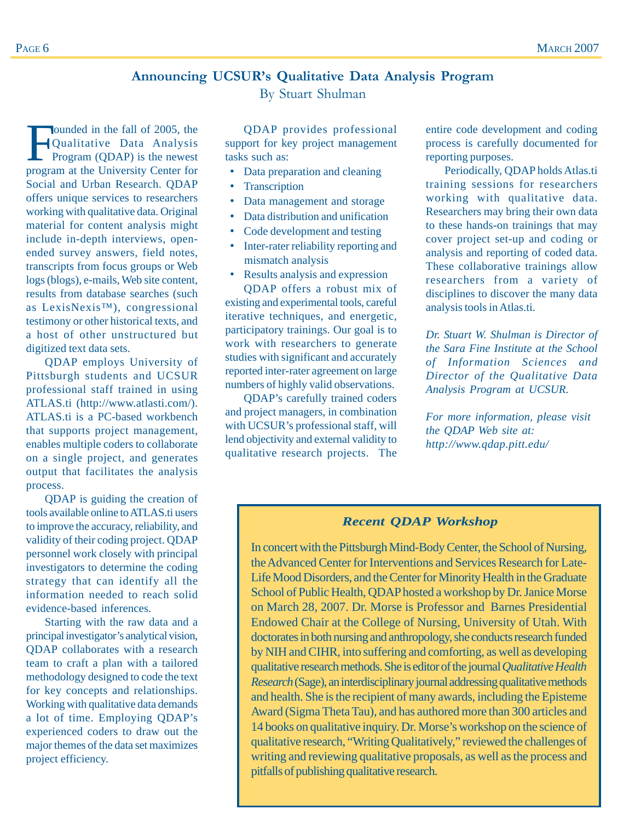## **Announcing UCSUR's Qualitative Data Analysis Program**

By Stuart Shulman

Founded in the fall of 2005, the<br>Qualitative Data Analysis<br>Program (QDAP) is the newest Qualitative Data Analysis program at the University Center for Social and Urban Research. QDAP offers unique services to researchers working with qualitative data. Original material for content analysis might include in-depth interviews, openended survey answers, field notes, transcripts from focus groups or Web logs (blogs), e-mails, Web site content, results from database searches (such as LexisNexis™), congressional testimony or other historical texts, and a host of other unstructured but digitized text data sets.

QDAP employs University of Pittsburgh students and UCSUR professional staff trained in using ATLAS.ti (http://www.atlasti.com/). ATLAS.ti is a PC-based workbench that supports project management, enables multiple coders to collaborate on a single project, and generates output that facilitates the analysis process.

QDAP is guiding the creation of tools available online to ATLAS.ti users to improve the accuracy, reliability, and validity of their coding project. QDAP personnel work closely with principal investigators to determine the coding strategy that can identify all the information needed to reach solid evidence-based inferences.

Starting with the raw data and a principal investigator's analytical vision, QDAP collaborates with a research team to craft a plan with a tailored methodology designed to code the text for key concepts and relationships. Working with qualitative data demands a lot of time. Employing QDAP's experienced coders to draw out the major themes of the data set maximizes project efficiency.

QDAP provides professional support for key project management tasks such as:

- Data preparation and cleaning
- Transcription
- Data management and storage
- Data distribution and unification
- Code development and testing
- Inter-rater reliability reporting and mismatch analysis
- Results analysis and expression

QDAP offers a robust mix of existing and experimental tools, careful iterative techniques, and energetic, participatory trainings. Our goal is to work with researchers to generate studies with significant and accurately reported inter-rater agreement on large numbers of highly valid observations.

QDAP's carefully trained coders and project managers, in combination with UCSUR's professional staff, will lend objectivity and external validity to qualitative research projects. The entire code development and coding process is carefully documented for reporting purposes.

Periodically, QDAP holds Atlas.ti training sessions for researchers working with qualitative data. Researchers may bring their own data to these hands-on trainings that may cover project set-up and coding or analysis and reporting of coded data. These collaborative trainings allow researchers from a variety of disciplines to discover the many data analysis tools in Atlas.ti.

*Dr. Stuart W. Shulman is Director of the Sara Fine Institute at the School of Information Sciences and Director of the Qualitative Data Analysis Program at UCSUR.*

*For more information, please visit the QDAP Web site at: http://www.qdap.pitt.edu/*

#### *Recent QDAP Workshop*

In concert with the Pittsburgh Mind-Body Center, the School of Nursing, the Advanced Center for Interventions and Services Research for Late-Life Mood Disorders, and the Center for Minority Health in the Graduate School of Public Health, QDAP hosted a workshop by Dr. Janice Morse on March 28, 2007. Dr. Morse is Professor and Barnes Presidential Endowed Chair at the College of Nursing, University of Utah. With doctorates in both nursing and anthropology, she conducts research funded by NIH and CIHR, into suffering and comforting, as well as developing qualitative research methods. She is editor of the journal *Qualitative Health Research* (Sage), an interdisciplinary journal addressing qualitative methods and health. She is the recipient of many awards, including the Episteme Award (Sigma Theta Tau), and has authored more than 300 articles and 14 books on qualitative inquiry. Dr. Morse's workshop on the science of qualitative research, "Writing Qualitatively," reviewed the challenges of writing and reviewing qualitative proposals, as well as the process and pitfalls of publishing qualitative research.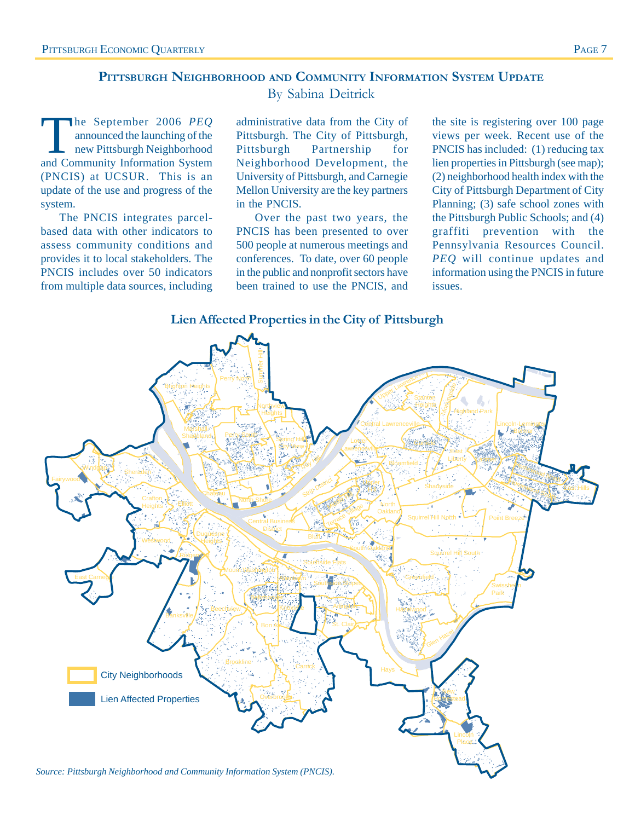## **PITTSBURGH NEIGHBORHOOD AND COMMUNITY INFORMATION SYSTEM UPDATE** By Sabina Deitrick

The September 2006 *PEQ*<br>
new Pittsburgh Neighborhood<br>
and Community Information System announced the launching of the and Community Information System (PNCIS) at UCSUR. This is an update of the use and progress of the system.

The PNCIS integrates parcelbased data with other indicators to assess community conditions and provides it to local stakeholders. The PNCIS includes over 50 indicators from multiple data sources, including

administrative data from the City of Pittsburgh. The City of Pittsburgh, Pittsburgh Partnership for Neighborhood Development, the University of Pittsburgh, and Carnegie Mellon University are the key partners in the PNCIS.

Over the past two years, the PNCIS has been presented to over 500 people at numerous meetings and conferences. To date, over 60 people in the public and nonprofit sectors have been trained to use the PNCIS, and the site is registering over 100 page views per week. Recent use of the PNCIS has included: (1) reducing tax lien properties in Pittsburgh (see map); (2) neighborhood health index with the City of Pittsburgh Department of City Planning; (3) safe school zones with the Pittsburgh Public Schools; and (4) graffiti prevention with the Pennsylvania Resources Council. *PEQ* will continue updates and information using the PNCIS in future issues.